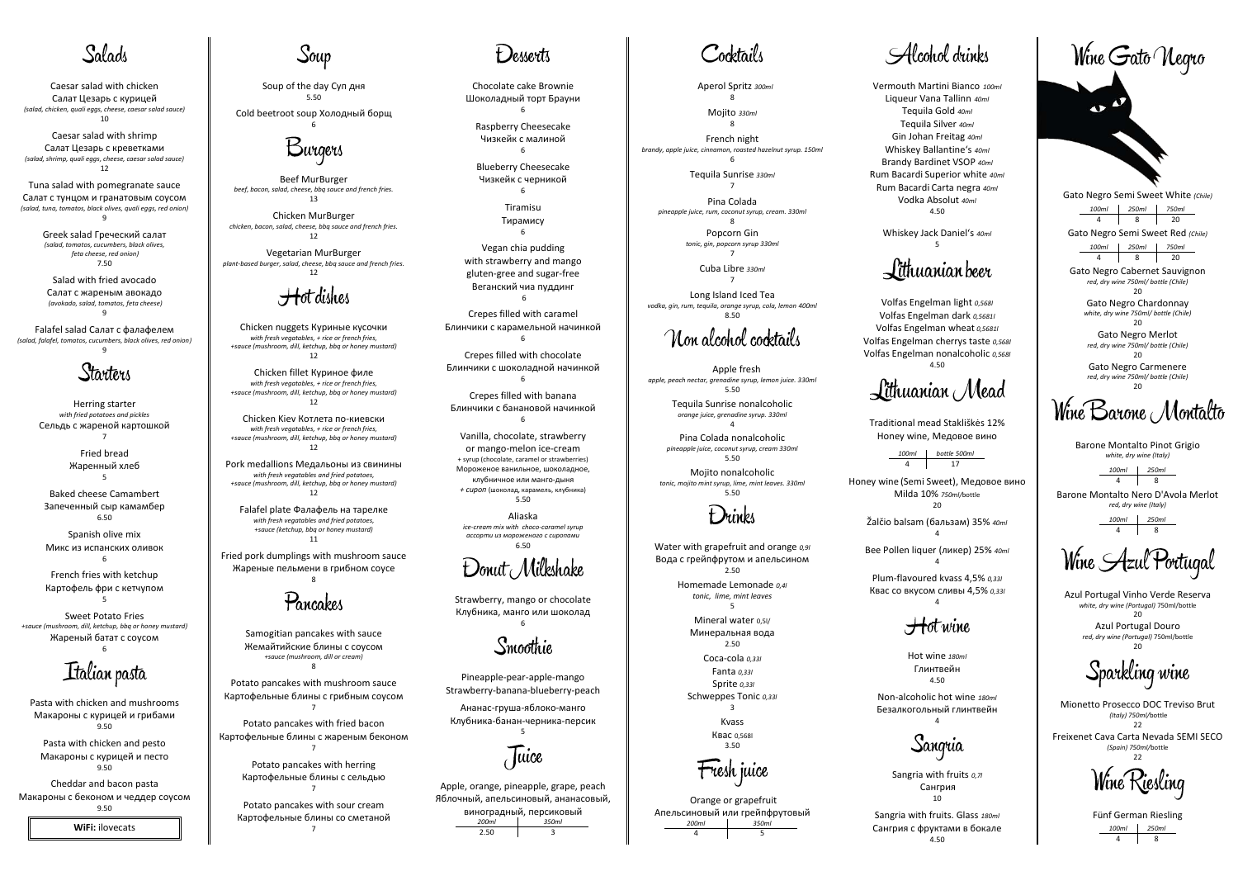# Salads

Caesar salad with chicken Салат Цезарь с курицей *(salad, chicken, quali eggs, cheese, caesar salad sauce)*  10

Tuna salad with pomegranate sauce Салат с тунцом и гранатовым соусом *(salad, tuna, tomatos, black olives, quali eggs, red onion)*   $\overline{q}$ 

Caesar salad with shrimp Салат Цезарь с креветками *(salad, shrimp, quali eggs, cheese, caesar salad sauce)*  12

> Greek salad Греческий салат *(salad, tomatos, cucumbers, black olives, feta cheese, red onion)*  7.50

Salad with fried avocado Салат с жареным авокадо  *(avokado, salad, tomatos, feta cheese)*  9

Falafel salad Салат с фалафелем *(salad, falafel, tomatos, cucumbers, black olives, red onion)*  9

### Starters

Herring starter *with fried potatoes and pickles*  Сельдь с жареной картошкой 7

> Fried bread Жаренный хлеб 5

Baked cheese Camambert Запеченный сыр камамбер 6.50

Spanish olive mix Микс из испанских оливок 6

French fries with ketchup Картофель фри с кетчупом 5

Sweet Potato Fries *+sauce (mushroom, dill, ketchup, bbq or honey mustard)*  Жареный батат с соусом

6

Italian pasta

Pasta with chicken and mushrooms Макароны с курицей и грибами 9.50

Pasta with chicken and pesto Макароны с курицей и песто 9.50

Cheddar and bacon pasta Макароны с беконом и чеддер соусом 9.50

**WiFi:** ilovecats



Soup of the day Суп дня 5.50

Cold beetroot soup Холодный борщ



Beef MurBurger *beef, bacon, salad, cheese, bbq sauce and french fries.*  13

Chicken MurBurger *chicken, bacon, salad, cheese, bbq sauce and french fries.*  12

Vegetarian MurBurger *plant-based burger, salad, cheese, bbq sauce and french fries.*  12

## Hot dishes

Chicken nuggets Куриные кусочки *with fresh vegatables, + rice or french fries, +sauce (mushroom, dill, ketchup, bbq or honey mustard)*  12

Chicken fillet Куриное филе *with fresh vegatables, + rice or french fries, +sauce (mushroom, dill, ketchup, bbq or honey mustard)*  12

> Apple, orange, pineapple, grape, peach Яблочный, апельсиновый, ананасовый, виноградный, персиковый *200ml 350ml*   $2.50$

Cocktails

Chicken Kiev Котлета по-киевски *with fresh vegatables, + rice or french fries, +sauce (mushroom, dill, ketchup, bbq or honey mustard)*  12

Pork medallions Медальоны из свинины *with fresh vegatables and fried potatoes, +sauce (mushroom, dill, ketchup, bbq or honey mustard)*  12

Falafel plate Фалафель на тарелке *with fresh vegatables and fried potatoes, +sauce (ketchup, bbq or honey mustard)*  11

Fried pork dumplings with mushroom sauce Жареные пельмени в грибном соусе 8

Pancakes

Samogitian pancakes with sauce Жемайтийские блины с соусом *+sauce (mushroom, dill or cream)*  8

Potato pancakes with mushroom sauce Картофельные блины с грибным соусом 7

Potato pancakes with fried bacon Картофельные блины с жареным беконом 7

Volfas Engelman light *0,568l* Volfas Engelman dark *0,5681l* Volfas Engelman wheat *0,5681l* Volfas Engelman cherrys taste *0,568l*  Volfas Engelman nonalcoholic *0,568l*  $4.50$ 

Potato pancakes with herring Картофельные блины с сельдью 7

Potato pancakes with sour cream Картофельные блины со сметаной 7

### Desserts

Chocolate cake Brownie Шоколадный торт Брауни

6

Raspberry Cheesecake Чизкейк с малиной 6

Blueberry Cheesecake Чизкейк с черникой 6

> Tiramisu Тирамису 6

> > *100ml bottle 500ml*  17

> > > $\overline{A}$

Gato Negro Semi Sweet White *(Chile) 100ml 250ml 750ml*  4 8 20

Gato Negro Cabernet Sauvignon *red, dry wine 750ml/ bottle (Chile)*   $20$ 

Vegan chia pudding with strawberry and mango gluten-gree and sugar-free Веганский чиа пуддинг

> Gato Negro Chardonnay *white, dry wine 750ml/ bottle (Chile)*   $20$

6

Crepes filled with caramel Блинчики с карамельной начинкой 6

> Gato Negro Carmenere *red, dry wine 750ml/ bottle (Chile)*   $20$

Wine Barone Montalto

Crepes filled with chocolate Блинчики с шоколадной начинкой 6

> Azul Portugal Vinho Verde Reserva *white, dry wine (Portugal)* 750ml/bottle  $20$

Crepes filled with banana Блинчики с банановой начинкой 6

> Azul Portugal Douro *red, dry wine (Portugal)* 750ml/bottle  $20$

Sparkling wine

Freixenet Cava Carta Nevada SEMI SECO *(Spain) 750ml/*bottle  $22$ 

Wine Riesling

Vanilla, chocolate, strawberry or mango-melon ice-cream + syrup (chocolate, caramel or strawberries) Мороженое ванильное, шоколадное, клубничное или манго-дыня *+ сироп* (шоколад, карамель, клубника) 5.50

*100ml 250ml*   $4$  8

Aliaska *ice-cream mix with choсo-caramel syrup ассорти из мороженого с сиропами* 6.50

Donut Milkshake

Strawberry, mango or chocolate Клубника, манго или шоколад 6

Smoothie

Pineapple-pear-apple-mango Strawberry-banana-blueberry-peach

Ананас-груша-яблоко-манго Клубника-банан-черника-персик 5

Juice

Aperol Spritz *300ml* 8

Mojito *330ml*

8 French night

*brandy, apple juice, cinnamon, roasted hazelnut syrup. 150ml* 6

> Tequila Sunrise *330ml* 7

Pina Colada *pineapple juice, rum, coconut syrup, cream. 330ml*  8 Popcorn Gin

*tonic, gin, popcorn syrup 330ml* 

7 Cuba Libre *330ml* 7

Long Island Iced Tea *vodka, gin, rum, tequila, orange syrup, cola, lemon 400ml*  8.50

Non alcohol cocktails

 Apple fresh *apple, peach nectar, grenadine syrup, lemon juice. 330ml*  5.50

> Tequila Sunrise nonalcoholic *orange juice, grenadine syrup. 330ml*  4

Pina Colada nonalcoholic *pineapple juice, coconut syrup, cream 330ml*  5.50

Mojito nonalcoholic *tonic, mojito mint syrup, lime, mint leaves. 330ml*  5.50

Drinks

Water with grapefruit and orange *0,9l* Вода с грейпфрутом и апельсином 2.50 Homemade Lemonade *0,4l*

> *tonic, lime, mint leaves* 5

Mineral water 0,5l/ Минеральная вода 2.50

Coca-cola *0,33l* Fanta *0,33l* Sprite *0,33l*  Schweppes Tonic *0,33l* 3

Kvass Квас 0,568l

<del>F</del>resh juice

3.50

Orange or grapefruit Апельсиновый или грейпфрутовый<br>200ml 1 350ml *200ml 350ml*  4 5

Vermouth Martini Bianco *100ml* Liqueur Vana Tallinn *40ml* Tequila Gold *40ml* Tequila Silver *40ml* Gin Johan Freitag *40ml* Whiskey Ballantine's *40ml* Brandy Bardinet VSOP *40ml*  Rum Bacardi Superior white *40ml*  Rum Bacardi Carta negra *40ml* Vodka Absolut *40ml* 4.50



Whiskey Jack Daniel's *40ml* 5

### Lithuanian beer

Lithuanian Mead

Traditional mead Stakliškės 12% Honey wine, Медовое вино

Honey wine (Semi Sweet), Медовое вино Milda 10% *750ml/*bottle 20

Žalčio balsam (бальзам) 35% *40ml*

Bee Pollen liquer (ликер) 25% *40ml*

4

Plum-flavoured kvass 4,5% *0,33l* 

Квас со вкусом сливы 4,5% *0,33l* 4

#### $\pm$ tot wine

Hot wine *180ml* Глинтвейн 4.50

Non-alcoholic hot wine *180ml*  Безалкогольный глинтвейн 4

Sangria

Wine Gato Negro

 $\boldsymbol{\sigma}^{\boldsymbol{M}}$ 

Sangria with fruits *0,7l*  Сангрия 10

Sangria with fruits. Glass *180ml* Сангрия с фруктами в бокале 4.50

# Alcohol drinks

Gato Negro Semi Sweet Red *(Chile)*

Gato Negro Merlot *red, dry wine 750ml/ bottle (Chile)*  20

Barone Montalto Pinot Grigio *white, dry wine (Italy)* 

Barone Montalto Nero D'Avola Merlot *red, dry wine (Italy)* 

Mionetto Prosecco DOC Treviso Brut  *(Italy) 750ml/*bottle 22

*100ml 250ml 750ml*  4 8 20

Fünf German Riesling *100ml 250ml*  4 8

*100ml 250ml*  4 8

Wine Azul Portugal